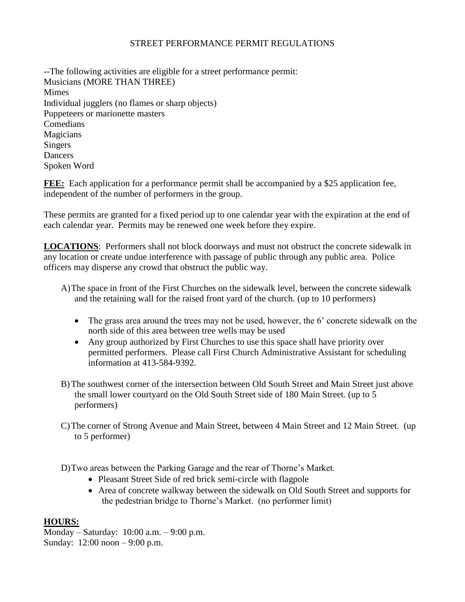## STREET PERFORMANCE PERMIT REGULATIONS

--The following activities are eligible for a street performance permit: Musicians (MORE THAN THREE) Mimes Individual jugglers (no flames or sharp objects) Puppeteers or marionette masters Comedians Magicians Singers Dancers Spoken Word

**FEE:** Each application for a performance permit shall be accompanied by a \$25 application fee, independent of the number of performers in the group.

These permits are granted for a fixed period up to one calendar year with the expiration at the end of each calendar year. Permits may be renewed one week before they expire.

**LOCATIONS**: Performers shall not block doorways and must not obstruct the concrete sidewalk in any location or create undue interference with passage of public through any public area. Police officers may disperse any crowd that obstruct the public way.

- A)The space in front of the First Churches on the sidewalk level, between the concrete sidewalk and the retaining wall for the raised front yard of the church. (up to 10 performers)
	- The grass area around the trees may not be used, however, the 6' concrete sidewalk on the north side of this area between tree wells may be used
	- Any group authorized by First Churches to use this space shall have priority over permitted performers. Please call First Church Administrative Assistant for scheduling information at 413-584-9392.
- B)The southwest corner of the intersection between Old South Street and Main Street just above the small lower courtyard on the Old South Street side of 180 Main Street. (up to 5 performers)
- C)The corner of Strong Avenue and Main Street, between 4 Main Street and 12 Main Street. (up to 5 performer)

D)Two areas between the Parking Garage and the rear of Thorne's Market.

- Pleasant Street Side of red brick semi-circle with flagpole
- Area of concrete walkway between the sidewalk on Old South Street and supports for the pedestrian bridge to Thorne's Market. (no performer limit)

## **HOURS:**

Monday – Saturday: 10:00 a.m. – 9:00 p.m. Sunday: 12:00 noon – 9:00 p.m.